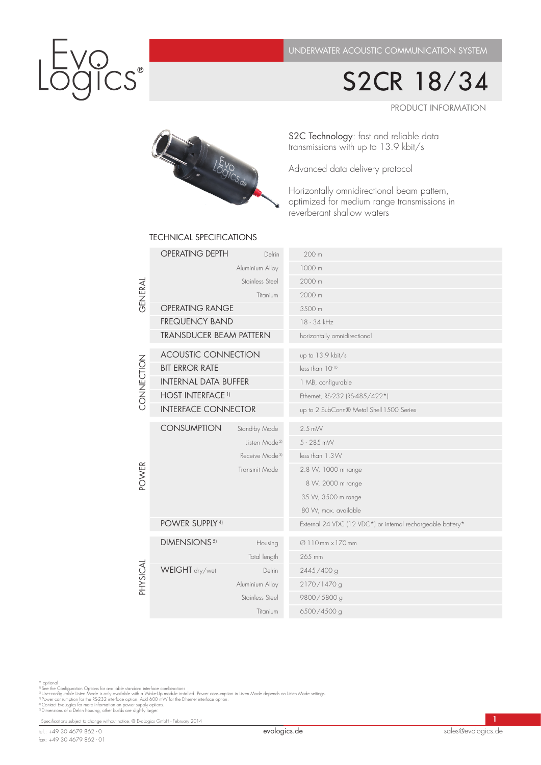S2CR 18/34

Product information



## technical specifications

S2C Technology: fast and reliable data transmissions with up to 13.9 kbit/s

Advanced data delivery protocol

Horizontally omnidirectional beam pattern, optimized for medium range transmissions in reverberant shallow waters

| GENERAL      | <b>OPERATING DEPTH</b>         | Delrin                     | 200 <sub>m</sub>                                            |
|--------------|--------------------------------|----------------------------|-------------------------------------------------------------|
|              |                                | Aluminium Alloy            | 1000 m                                                      |
|              |                                | Stainless Steel            | 2000 m                                                      |
|              |                                | Titanium                   | 2000 m                                                      |
|              | <b>OPERATING RANGE</b>         |                            | 3500 m                                                      |
|              | <b>FREQUENCY BAND</b>          |                            | 18 - 34 kHz                                                 |
|              | <b>TRANSDUCER BEAM PATTERN</b> |                            | horizontally omnidirectional                                |
| CONNECTION   | <b>ACOUSTIC CONNECTION</b>     |                            | up to 13.9 kbit/s                                           |
|              | <b>BIT ERROR RATE</b>          |                            | less than $10^{10}$                                         |
|              | <b>INTERNAL DATA BUFFER</b>    |                            | 1 MB, configurable                                          |
|              | <b>HOST INTERFACE 1)</b>       |                            | Ethernet, RS-232 (RS-485/422*)                              |
|              | <b>INTERFACE CONNECTOR</b>     |                            | up to 2 SubConn® Metal Shell 1500 Series                    |
| <b>POWER</b> | <b>CONSUMPTION</b>             | Stand-by Mode              | $2.5$ mW                                                    |
|              |                                | Listen Mode <sup>21</sup>  | $5 - 285$ mW                                                |
|              |                                | Receive Mode <sup>31</sup> | less than 1.3W                                              |
|              | Transmit Mode                  |                            | 2.8 W, 1000 m range                                         |
|              |                                |                            | 8 W, 2000 m range                                           |
|              |                                |                            | 35 W, 3500 m range                                          |
|              |                                |                            | 80 W, max. available                                        |
|              | POWER SUPPLY <sup>4)</sup>     |                            | External 24 VDC (12 VDC*) or internal rechargeable battery* |
|              | DIMENSIONS <sup>5)</sup>       | Housing                    | Ø110mm x170mm                                               |
|              |                                | Total length               | 265 mm                                                      |
| PHYSICAL     | WEIGHT dry/wet                 | Delrin                     | 2445/400 g                                                  |
|              |                                | Aluminium Alloy            | 2170/1470 g                                                 |
|              |                                | Stainless Steel            | 9800/5800 g                                                 |
|              |                                | Titanium                   | 6500/4500 g                                                 |

\* optional<br>")See the Configuration Options for available standard interface combinations.<br>"! Userconfigurable Listen Mode is only available with a Wake-Up module installed. Power consumption in Listen Mode depends on Liste

Specifications subject to change without notice. © EvoLogics GmbH - February 2014